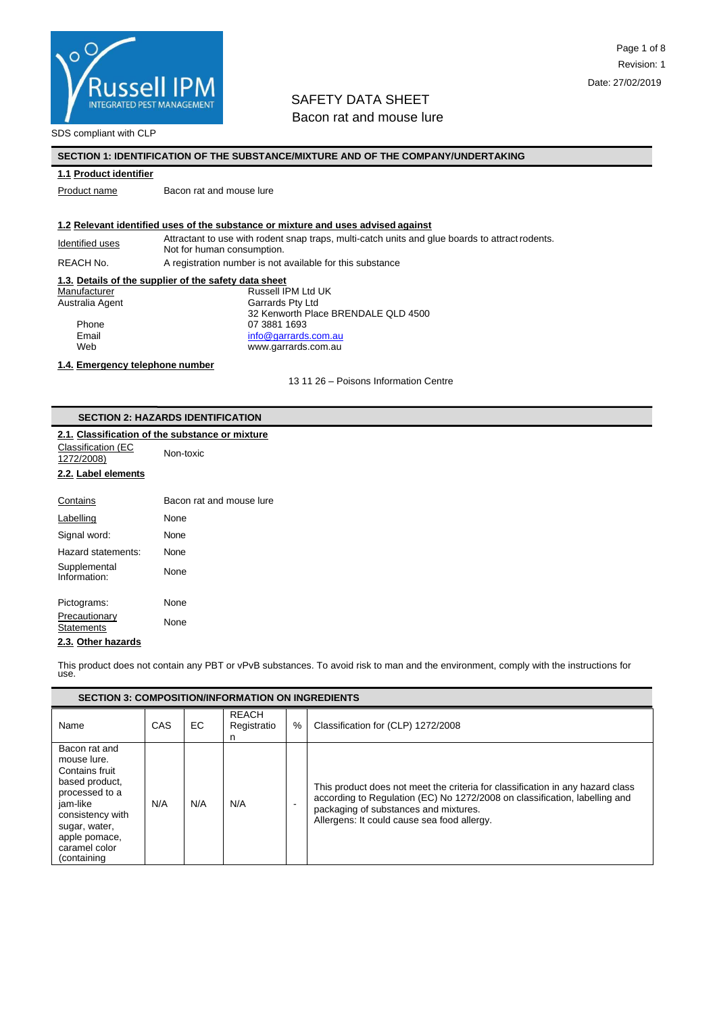

SDS compliant with CLP

### **SECTION 1: IDENTIFICATION OF THE SUBSTANCE/MIXTURE AND OF THE COMPANY/UNDERTAKING**

#### **1.1 Product identifier**

Product name Bacon rat and mouse lure

#### **1.2 Relevant identified uses of the substance or mixture and uses advised against**

Identified uses Attractant to use with rodent snap traps, multi-catch units and glue boards to attract rodents. Not for human consumption.

REACH No. A registration number is not available for this substance

#### **1.3. Details of the supplier of the safety data sheet**

Manufacturer **Manufacturer Russell IPM Ltd UK** Australia Agent Garrards Pty Ltd 32 Kenworth Place BRENDALE QLD 4500 Phone 07 3881 1693<br>Email contracts contract to the original contracts info@garrards Email [info@garrards.com.au](mailto:info@garrards.com.au)<br>
Web info@garrards.com.au www.garrards.com.au

## **1.4. Emergency telephone number**

13 11 26 – Poisons Information Centre

#### **SECTION 2: HAZARDS IDENTIFICATION**

### **2.1. Classification of the substance or mixture**

Classification (EC 1272/2008)

# Non-toxic

## **2.2. Label elements**

| Contains                           | Bacon rat and mouse lure |
|------------------------------------|--------------------------|
| Labelling                          | None                     |
| Signal word:                       | None                     |
| Hazard statements:                 | None                     |
| Supplemental<br>Information:       | None                     |
| Pictograms:                        | None                     |
| Precautionary<br><b>Statements</b> | None                     |
| .                                  |                          |

## **2.3. Other hazards**

This product does not contain any PBT or vPvB substances. To avoid risk to man and the environment, comply with the instructions for use.

| <b>SECTION 3: COMPOSITION/INFORMATION ON INGREDIENTS</b>                                                                                                                             |            |     |                                  |   |                                                                                                                                                                                                                                                      |
|--------------------------------------------------------------------------------------------------------------------------------------------------------------------------------------|------------|-----|----------------------------------|---|------------------------------------------------------------------------------------------------------------------------------------------------------------------------------------------------------------------------------------------------------|
| Name                                                                                                                                                                                 | <b>CAS</b> | EC. | <b>REACH</b><br>Registratio<br>n | % | Classification for (CLP) 1272/2008                                                                                                                                                                                                                   |
| Bacon rat and<br>mouse lure.<br>Contains fruit<br>based product,<br>processed to a<br>jam-like<br>consistency with<br>sugar, water,<br>apple pomace,<br>caramel color<br>(containing | N/A        | N/A | N/A                              |   | This product does not meet the criteria for classification in any hazard class<br>according to Regulation (EC) No 1272/2008 on classification, labelling and<br>packaging of substances and mixtures.<br>Allergens: It could cause sea food allergy. |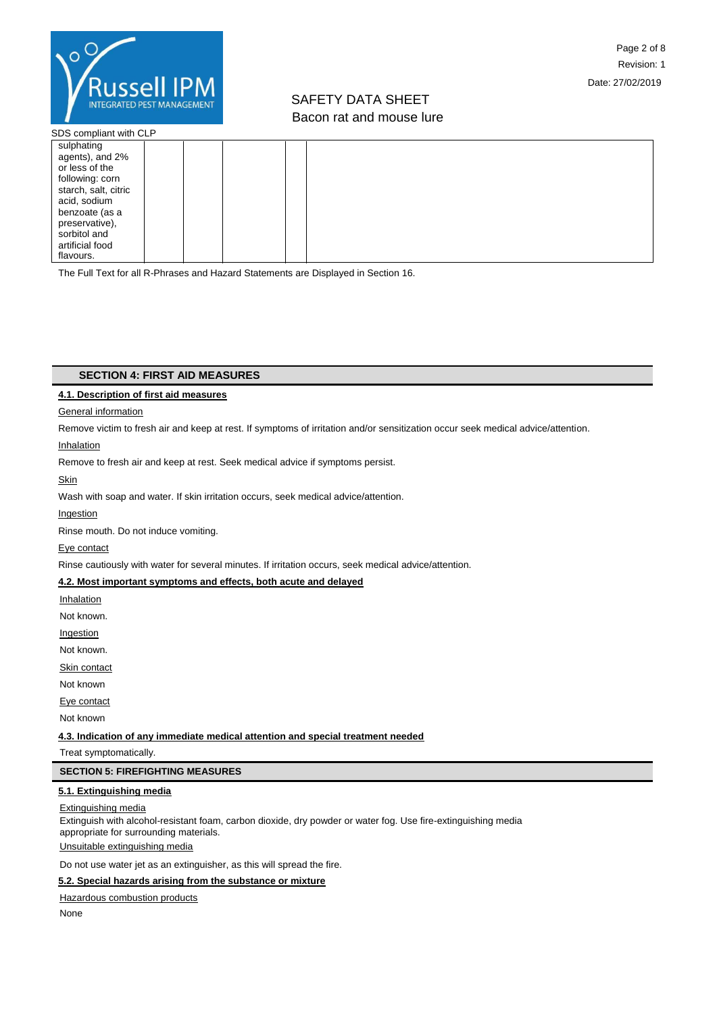

SDS compliant with CLP

| sulphating           |  |
|----------------------|--|
| agents), and 2%      |  |
| or less of the       |  |
| following: corn      |  |
| starch, salt, citric |  |
| acid, sodium         |  |
| benzoate (as a       |  |
| preservative),       |  |
| sorbitol and         |  |
| artificial food      |  |
| flavours.            |  |

The Full Text for all R-Phrases and Hazard Statements are Displayed in Section 16.

## **SECTION 4: FIRST AID MEASURES**

#### **4.1. Description of first aid measures**

### General information

Remove victim to fresh air and keep at rest. If symptoms of irritation and/or sensitization occur seek medical advice/attention.

#### Inhalation

Remove to fresh air and keep at rest. Seek medical advice if symptoms persist.

Skin

Wash with soap and water. If skin irritation occurs, seek medical advice/attention.

**Ingestion** 

Rinse mouth. Do not induce vomiting.

Eye contact

Rinse cautiously with water for several minutes. If irritation occurs, seek medical advice/attention.

## **4.2. Most important symptoms and effects, both acute and delayed**

**Inhalation** 

Not known.

Ingestion

Not known.

Skin contact

Not known

Eye contact

Not known

**4.3. Indication of any immediate medical attention and special treatment needed**

Treat symptomatically.

## **SECTION 5: FIREFIGHTING MEASURES**

## **5.1. Extinguishing media**

#### Extinguishing media

Extinguish with alcohol-resistant foam, carbon dioxide, dry powder or water fog. Use fire-extinguishing media appropriate for surrounding materials.

Unsuitable extinguishing media

## Do not use water jet as an extinguisher, as this will spread the fire.

## **5.2. Special hazards arising from the substance or mixture**

Hazardous combustion products

None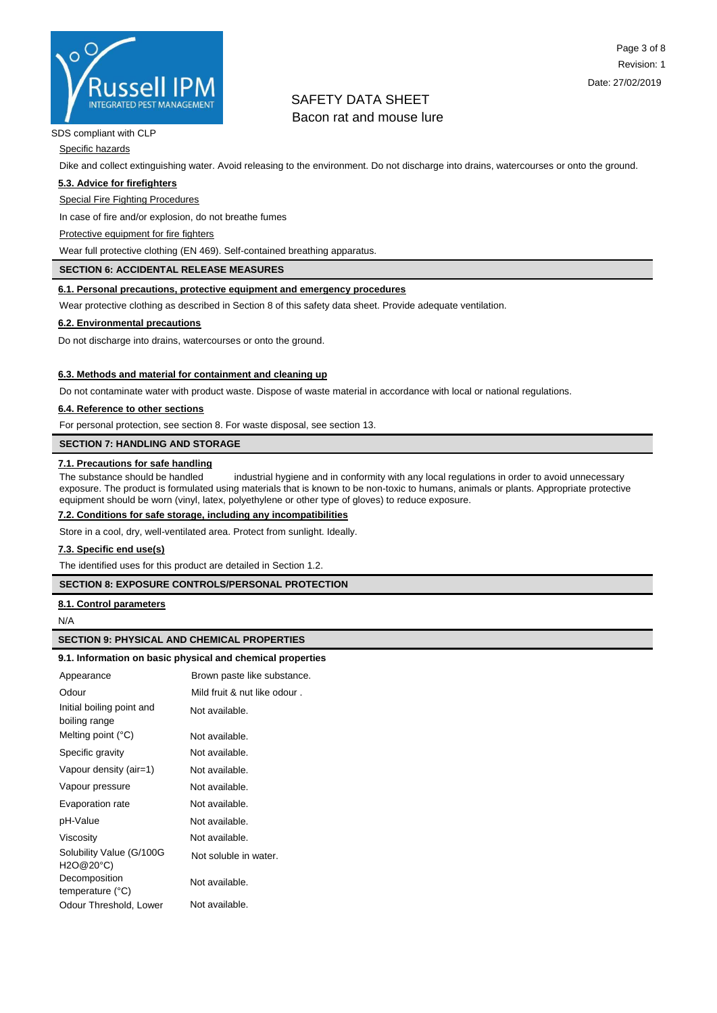

#### SDS compliant with CLP

Specific hazards

Dike and collect extinguishing water. Avoid releasing to the environment. Do not discharge into drains, watercourses or onto the ground.

#### **5.3. Advice for firefighters**

Special Fire Fighting Procedures

In case of fire and/or explosion, do not breathe fumes

Protective equipment for fire fighters

Wear full protective clothing (EN 469). Self-contained breathing apparatus.

### **SECTION 6: ACCIDENTAL RELEASE MEASURES**

#### **6.1. Personal precautions, protective equipment and emergency procedures**

Wear protective clothing as described in Section 8 of this safety data sheet. Provide adequate ventilation.

#### **6.2. Environmental precautions**

Do not discharge into drains, watercourses or onto the ground.

#### **6.3. Methods and material for containment and cleaning up**

Do not contaminate water with product waste. Dispose of waste material in accordance with local or national regulations.

#### **6.4. Reference to other sections**

For personal protection, see section 8. For waste disposal, see section 13.

**SECTION 7: HANDLING AND STORAGE**

## **7.1. Precautions for safe handling**

The substance should be handled industrial hygiene and in conformity with any local regulations in order to avoid unnecessary exposure. The product is formulated using materials that is known to be non-toxic to humans, animals or plants. Appropriate protective equipment should be worn (vinyl, latex, polyethylene or other type of gloves) to reduce exposure.

## **7.2. Conditions for safe storage, including any incompatibilities**

Store in a cool, dry, well-ventilated area. Protect from sunlight. Ideally.

#### **7.3. Specific end use(s)**

The identified uses for this product are detailed in Section 1.2.

#### **SECTION 8: EXPOSURE CONTROLS/PERSONAL PROTECTION**

**8.1. Control parameters**

#### N/A

#### **SECTION 9: PHYSICAL AND CHEMICAL PROPERTIES**

#### **9.1. Information on basic physical and chemical properties**

| Appearance                                 | Brown paste like substance.  |
|--------------------------------------------|------------------------------|
| Odour                                      | Mild fruit & nut like odour. |
| Initial boiling point and<br>boiling range | Not available.               |
| Melting point $(^{\circ}C)$                | Not available.               |
| Specific gravity                           | Not available.               |
| Vapour density (air=1)                     | Not available.               |
| Vapour pressure                            | Not available.               |
| Evaporation rate                           | Not available.               |
| pH-Value                                   | Not available.               |
| Viscosity                                  | Not available.               |
| Solubility Value (G/100G)<br>H2O@20°C)     | Not soluble in water.        |
| Decomposition<br>temperature $(^{\circ}C)$ | Not available.               |
| Odour Threshold, Lower                     | Not available.               |
|                                            |                              |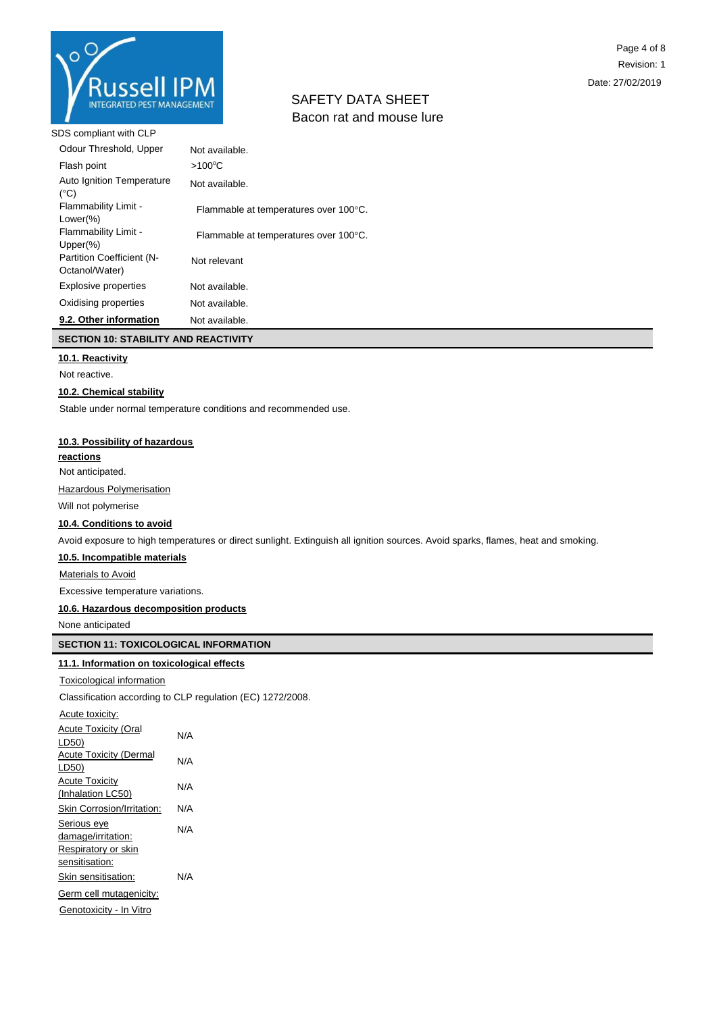

SDS compliant with CLP

| Odour Threshold, Upper                             | Not available.                        |
|----------------------------------------------------|---------------------------------------|
| Flash point                                        | $>100^{\circ}$ C                      |
| Auto Ignition Temperature<br>$(^{\circ}C)$         | Not available.                        |
| Flammability Limit -<br>Lower $(\%)$               | Flammable at temperatures over 100°C. |
| Flammability Limit -<br>$Upper(\%)$                | Flammable at temperatures over 100°C. |
| <b>Partition Coefficient (N-</b><br>Octanol/Water) | Not relevant                          |
| <b>Explosive properties</b>                        | Not available.                        |
| Oxidising properties                               | Not available.                        |
| 9.2. Other information                             | Not available.                        |

## **SECTION 10: STABILITY AND REACTIVITY**

## **10.1. Reactivity**

Not reactive.

#### **10.2. Chemical stability**

Stable under normal temperature conditions and recommended use.

#### **10.3. Possibility of hazardous**

**reactions**

Not anticipated.

Hazardous Polymerisation

Will not polymerise

## **10.4. Conditions to avoid**

Avoid exposure to high temperatures or direct sunlight. Extinguish all ignition sources. Avoid sparks, flames, heat and smoking.

#### **10.5. Incompatible materials**

Materials to Avoid

Excessive temperature variations.

### **10.6. Hazardous decomposition products**

None anticipated

## **SECTION 11: TOXICOLOGICAL INFORMATION**

## **11.1. Information on toxicological effects**

Toxicological information

Classification according to CLP regulation (EC) 1272/2008.

| Acute toxicity:               |     |
|-------------------------------|-----|
| <b>Acute Toxicity (Oral</b>   | N/A |
| LD50)                         |     |
| <b>Acute Toxicity (Dermal</b> | N/A |
| LD50)                         |     |
| <b>Acute Toxicity</b>         | N/A |
| (Inhalation LC50)             |     |
| Skin Corrosion/Irritation:    | N/A |
| Serious eye                   | N/A |
| damage/irritation:            |     |
| Respiratory or skin           |     |
| sensitisation:                |     |
| Skin sensitisation:           | N/A |
| Germ cell mutagenicity:       |     |
| Genotoxicity - In Vitro       |     |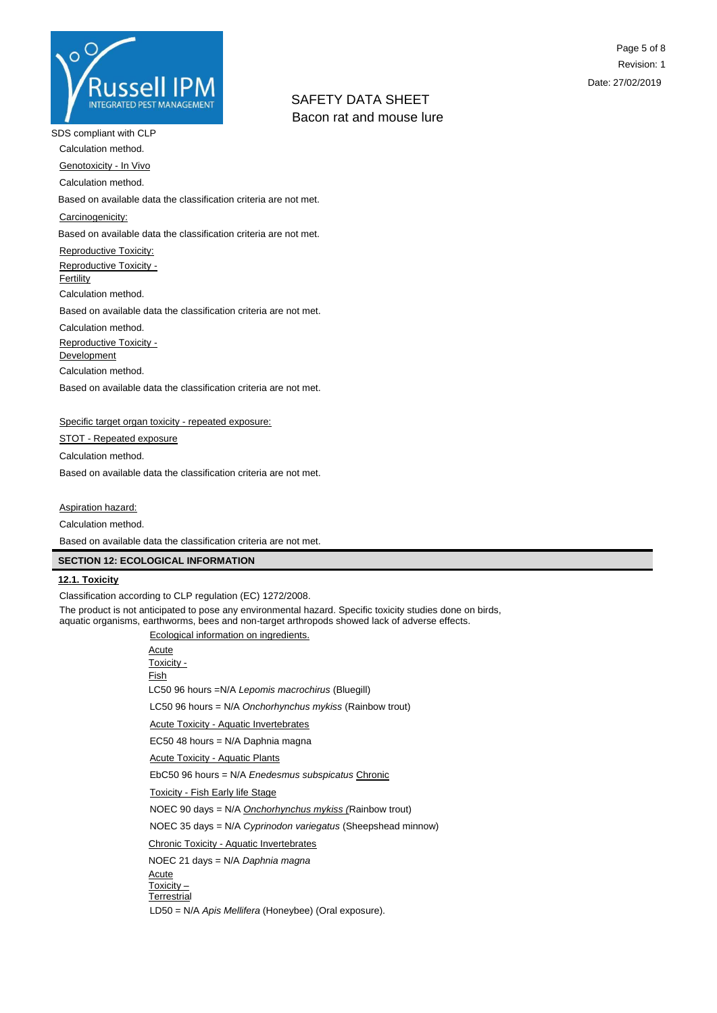

SDS compliant with CLP

Calculation method.

Genotoxicity - In Vivo

Calculation method.

Based on available data the classification criteria are not met.

Carcinogenicity:

Based on available data the classification criteria are not met.

Reproductive Toxicity:

Reproductive Toxicity -

**Fertility** 

Calculation method.

Based on available data the classification criteria are not met.

Calculation method.

Reproductive Toxicity -

**Development** 

Calculation method.

Based on available data the classification criteria are not met.

Specific target organ toxicity - repeated exposure:

STOT - Repeated exposure

Calculation method.

Based on available data the classification criteria are not met.

Aspiration hazard:

Calculation method.

Based on available data the classification criteria are not met.

## **SECTION 12: ECOLOGICAL INFORMATION**

## **12.1. Toxicity**

Classification according to CLP regulation (EC) 1272/2008.

The product is not anticipated to pose any environmental hazard. Specific toxicity studies done on birds, aquatic organisms, earthworms, bees and non-target arthropods showed lack of adverse effects.

Ecological information on ingredients.

| Ecological implification on ingredients.                                                    |
|---------------------------------------------------------------------------------------------|
| Acute<br>Toxicity -<br>Fish                                                                 |
| LC50 96 hours = N/A Lepomis macrochirus (Bluegill)                                          |
| LC50 96 hours = $N/A$ Onchorhynchus mykiss (Rainbow trout)                                  |
| <b>Acute Toxicity - Aquatic Invertebrates</b>                                               |
| EC50 48 hours = N/A Daphnia magna                                                           |
| <b>Acute Toxicity - Aquatic Plants</b>                                                      |
| EbC50 96 hours = N/A Enedesmus subspicatus Chronic                                          |
| <b>Toxicity - Fish Early life Stage</b>                                                     |
| NOEC 90 days = N/A Onchorhynchus mykiss (Rainbow trout)                                     |
| NOEC 35 days = N/A Cyprinodon variegatus (Sheepshead minnow)                                |
| <b>Chronic Toxicity - Aquatic Invertebrates</b>                                             |
| NOEC 21 days = N/A Daphnia magna                                                            |
| Acute<br>Toxicity –<br>Terrestrial<br>LD50 = N/A Apis Mellifera (Honeybee) (Oral exposure). |
|                                                                                             |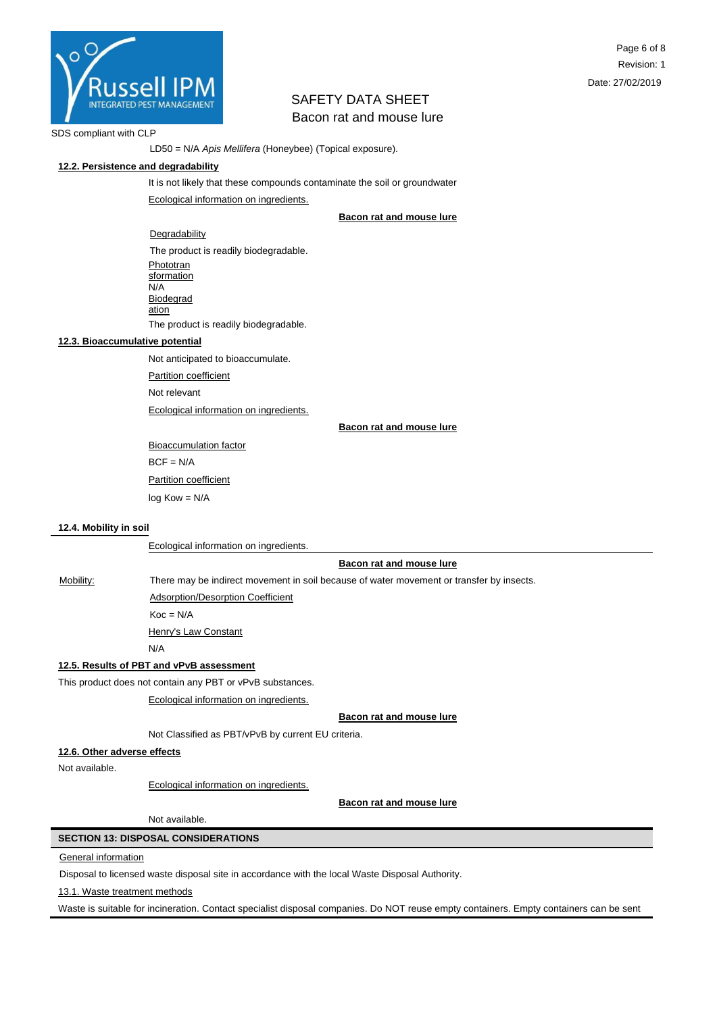

#### SDS compliant with CLP

LD50 = N/A *Apis Mellifera* (Honeybee) (Topical exposure).

### **12.2. Persistence and degradability**

It is not likely that these compounds contaminate the soil or groundwater Ecological information on ingredients.

### **Bacon rat and mouse lure**

Degradability The product is readily biodegradable. Phototran **sformation**  $N/A$ **Biodegrad** ation The product is readily biodegradable.

### **12.3. Bioaccumulative potential**

Not anticipated to bioaccumulate.

Partition coefficient

Not relevant

Ecological information on ingredients.

**Bacon rat and mouse lure**

Bioaccumulation factor  $BCF = N/A$ **Partition coefficient** log Kow = N/A

#### **12.4. Mobility in soil**

Ecological information on ingredients.

#### **Bacon rat and mouse lure**

Mobility: There may be indirect movement in soil because of water movement or transfer by insects.

Adsorption/Desorption Coefficient

 $Koc = N/A$ 

Henry's Law Constant

N/A

## **12.5. Results of PBT and vPvB assessment**

This product does not contain any PBT or vPvB substances.

Ecological information on ingredients.

**Bacon rat and mouse lure**

Not Classified as PBT/vPvB by current EU criteria.

#### **12.6. Other adverse effects**

Not available.

Ecological information on ingredients.

**Bacon rat and mouse lure**

Not available.

## **SECTION 13: DISPOSAL CONSIDERATIONS**

#### General information

Disposal to licensed waste disposal site in accordance with the local Waste Disposal Authority.

13.1. Waste treatment methods

Waste is suitable for incineration. Contact specialist disposal companies. Do NOT reuse empty containers. Empty containers can be sent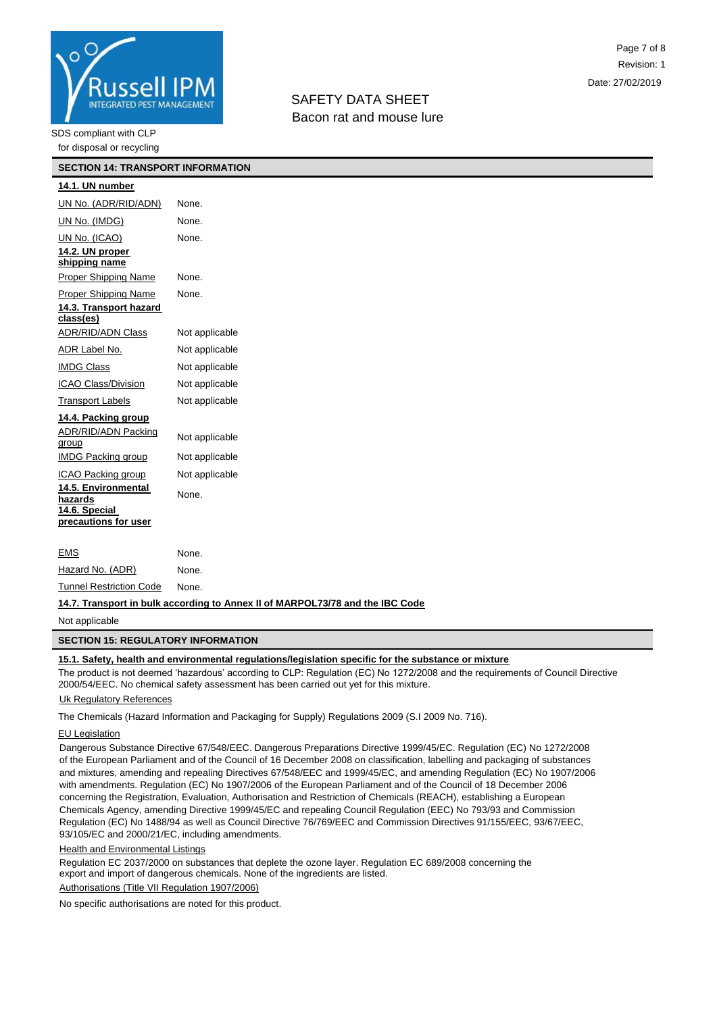

## SDS compliant with CLP

for disposal or recycling

| <b>SECTION 14: TRANSPORT INFORMATION</b>               |                |  |
|--------------------------------------------------------|----------------|--|
| 14.1. UN number                                        |                |  |
| UN No. (ADR/RID/ADN)                                   | None.          |  |
| UN No. (IMDG)                                          | None.          |  |
| UN No. (ICAO)                                          | None.          |  |
| 14.2. UN proper<br>shipping name                       |                |  |
| Proper Shipping Name                                   | None.          |  |
| Proper Shipping Name                                   | None.          |  |
| 14.3. Transport hazard<br>class(es)                    |                |  |
| <b>ADR/RID/ADN Class</b>                               | Not applicable |  |
| ADR Label No.                                          | Not applicable |  |
| <b>IMDG Class</b>                                      | Not applicable |  |
| ICAO Class/Division                                    | Not applicable |  |
| <b>Transport Labels</b>                                | Not applicable |  |
| 14.4. Packing group                                    |                |  |
| ADR/RID/ADN Packing<br>group                           | Not applicable |  |
| IMDG Packing group                                     | Not applicable |  |
| ICAO Packing group                                     | Not applicable |  |
| 14.5. Environmental<br>hazards<br><u>14.6. Special</u> | None.          |  |
| precautions for user                                   |                |  |
| EMS                                                    | None.          |  |
| Hazard No. (ADR)                                       | None.          |  |
|                                                        |                |  |

#### **14.7. Transport in bulk according to Annex II of MARPOL73/78 and the IBC Code**

Not applicable

#### **SECTION 15: REGULATORY INFORMATION**

### **15.1. Safety, health and environmental regulations/legislation specific for the substance or mixture**

The product is not deemed 'hazardous' according to CLP: Regulation (EC) No 1272/2008 and the requirements of Council Directive 2000/54/EEC. No chemical safety assessment has been carried out yet for this mixture.

### Uk Regulatory References

Tunnel Restriction Code None.

The Chemicals (Hazard Information and Packaging for Supply) Regulations 2009 (S.I 2009 No. 716).

#### EU Legislation

Dangerous Substance Directive 67/548/EEC. Dangerous Preparations Directive 1999/45/EC. Regulation (EC) No 1272/2008 of the European Parliament and of the Council of 16 December 2008 on classification, labelling and packaging of substances and mixtures, amending and repealing Directives 67/548/EEC and 1999/45/EC, and amending Regulation (EC) No 1907/2006 with amendments. Regulation (EC) No 1907/2006 of the European Parliament and of the Council of 18 December 2006 concerning the Registration, Evaluation, Authorisation and Restriction of Chemicals (REACH), establishing a European Chemicals Agency, amending Directive 1999/45/EC and repealing Council Regulation (EEC) No 793/93 and Commission Regulation (EC) No 1488/94 as well as Council Directive 76/769/EEC and Commission Directives 91/155/EEC, 93/67/EEC, 93/105/EC and 2000/21/EC, including amendments.

### **Health and Environmental Listings**

Regulation EC 2037/2000 on substances that deplete the ozone layer. Regulation EC 689/2008 concerning the export and import of dangerous chemicals. None of the ingredients are listed.

Authorisations (Title VII Regulation 1907/2006)

No specific authorisations are noted for this product.